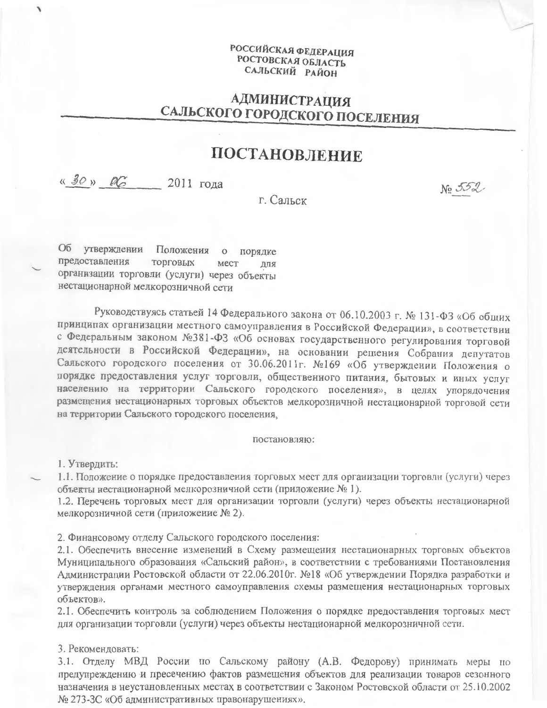## РОССИЙСКАЯ ФЕДЕРАЦИЯ РОСТОВСКАЯ ОБЛАСТЬ САЛЬСКИЙ РАЙОН

## **АДМИНИСТРАЦИЯ** САЛЬСКОГО ГОРОДСКОГО ПОСЕЛЕНИЯ

## ПОСТАНОВЛЕНИЕ

## «Зо» есть 2011 года

No 552

г. Сальск

Об утверждении Положения порядке  $\circ$ предоставления торговых мест для организации торговли (услуги) через объекты нестационарной мелкорозничной сети

Руководствуясь статьей 14 Федерального закона от 06.10.2003 г. № 131-ФЗ «Об общих принципах организации местного самоуправления в Российской Федерации», в соответствии с Федеральным законом №381-ФЗ «Об основах государственного регулирования торговой деятельности в Российской Федерации», на основании решения Собрания депутатов Сальского городского поселения от 30.06.2011г. №169 «Об утверждении Положения о порядке предоставления услуг торговли, общественного питания, бытовых и иных услуг населению на территории Сальского городского поселения», в целях упорядочения размещения нестационарных торговых объектов мелкорозничной нестационарной торговой сети на территории Сальского городского поселения,

постановляю:

1. Утвердить:

1.1. Положение о порядке предоставления торговых мест для организации торговли (услуги) через объекты нестационарной мелкорозничной сети (приложение № 1).

1.2. Перечень торговых мест для организации торговли (услуги) через объекты нестационарной мелкорозничной сети (приложение № 2).

2. Финансовому отделу Сальского городского поселения:

2.1. Обеспечить внесение изменений в Схему размещения нестационарных торговых объектов Муниципального образования «Сальский район», в соответствии с требованиями Постановления Администрации Ростовской области от 22.06.2010г. №18 «Об утверждении Порядка разработки и утверждения органами местного самоуправления схемы размещения нестационарных торговых объектов».

2.1. Обеспечить контроль за соблюдением Положения о порядке предоставления торговых мест для организации торговли (услуги) через объекты нестационарной мелкорозничной сети.

3. Рекомендовать:

3.1. Отделу МВД России по Сальскому району (А.В. Федорову) принимать меры по предупреждению и пресечению фактов размещения объектов для реализации товаров сезонного назначения в неустановленных местах в соответствии с Законом Ростовской области от 25.10.2002 № 273-3С «Об административных правонарушениях».